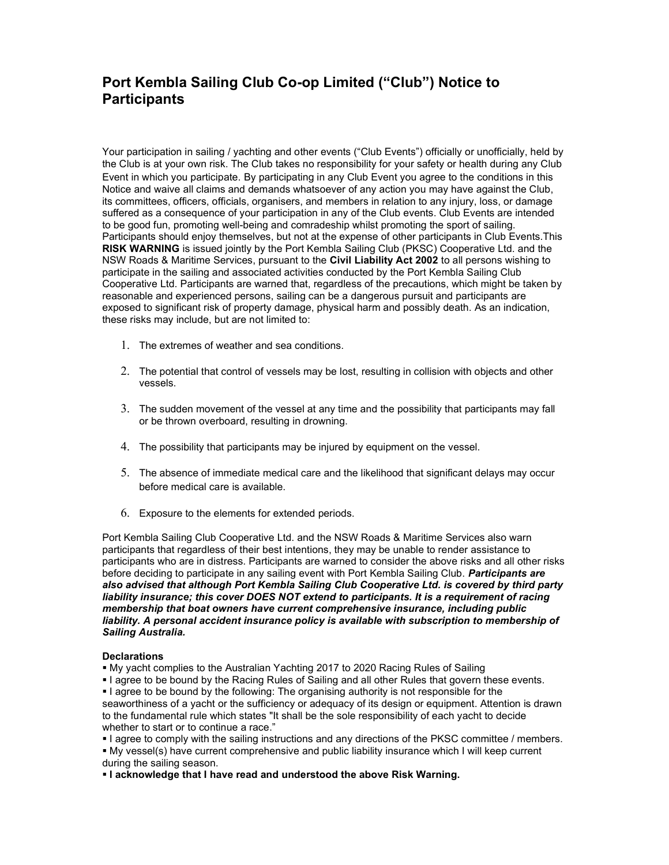## Port Kembla Sailing Club Co-op Limited ("Club") Notice to **Participants**

Your participation in sailing / yachting and other events ("Club Events") officially or unofficially, held by the Club is at your own risk. The Club takes no responsibility for your safety or health during any Club Event in which you participate. By participating in any Club Event you agree to the conditions in this Notice and waive all claims and demands whatsoever of any action you may have against the Club, its committees, officers, officials, organisers, and members in relation to any injury, loss, or damage suffered as a consequence of your participation in any of the Club events. Club Events are intended to be good fun, promoting well-being and comradeship whilst promoting the sport of sailing. Participants should enjoy themselves, but not at the expense of other participants in Club Events.This RISK WARNING is issued jointly by the Port Kembla Sailing Club (PKSC) Cooperative Ltd. and the NSW Roads & Maritime Services, pursuant to the Civil Liability Act 2002 to all persons wishing to participate in the sailing and associated activities conducted by the Port Kembla Sailing Club Cooperative Ltd. Participants are warned that, regardless of the precautions, which might be taken by reasonable and experienced persons, sailing can be a dangerous pursuit and participants are exposed to significant risk of property damage, physical harm and possibly death. As an indication, these risks may include, but are not limited to:

- 1. The extremes of weather and sea conditions.
- 2. The potential that control of vessels may be lost, resulting in collision with objects and other vessels.
- 3. The sudden movement of the vessel at any time and the possibility that participants may fall or be thrown overboard, resulting in drowning.
- 4. The possibility that participants may be injured by equipment on the vessel.
- 5. The absence of immediate medical care and the likelihood that significant delays may occur before medical care is available.
- 6. Exposure to the elements for extended periods.

Port Kembla Sailing Club Cooperative Ltd. and the NSW Roads & Maritime Services also warn participants that regardless of their best intentions, they may be unable to render assistance to participants who are in distress. Participants are warned to consider the above risks and all other risks before deciding to participate in any sailing event with Port Kembla Sailing Club. Participants are also advised that although Port Kembla Sailing Club Cooperative Ltd. is covered by third party liability insurance; this cover DOES NOT extend to participants. It is a requirement of racing membership that boat owners have current comprehensive insurance, including public liability. A personal accident insurance policy is available with subscription to membership of Sailing Australia.

## **Declarations**

My yacht complies to the Australian Yachting 2017 to 2020 Racing Rules of Sailing

I agree to be bound by the Racing Rules of Sailing and all other Rules that govern these events.

I agree to be bound by the following: The organising authority is not responsible for the seaworthiness of a yacht or the sufficiency or adequacy of its design or equipment. Attention is drawn to the fundamental rule which states "It shall be the sole responsibility of each yacht to decide whether to start or to continue a race."

I agree to comply with the sailing instructions and any directions of the PKSC committee / members.

 My vessel(s) have current comprehensive and public liability insurance which I will keep current during the sailing season.

**I acknowledge that I have read and understood the above Risk Warning.**